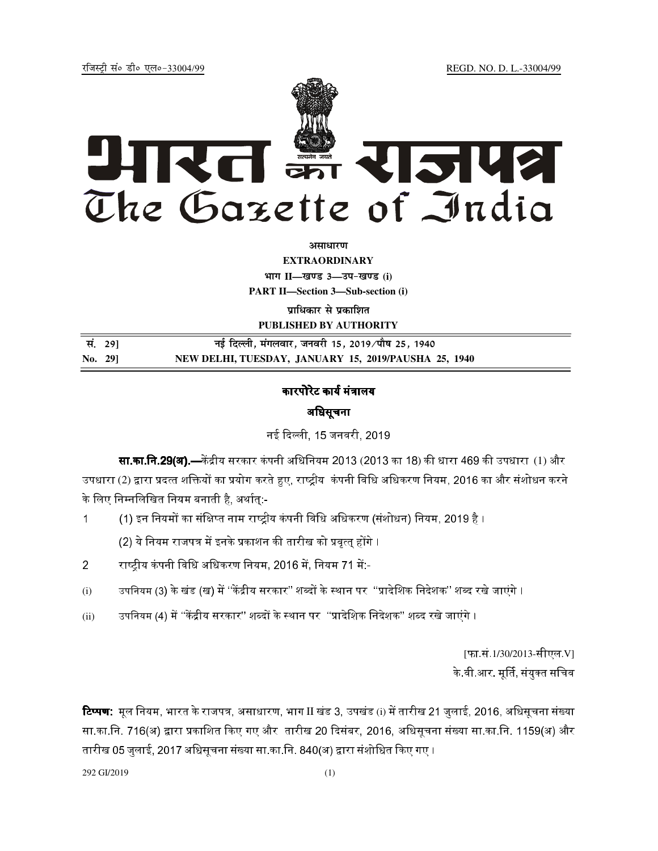jftLVªh laö Mhö ,yö&33004@99 REGD. NO. D. L.-33004/99



**vlk/kj.k**

**EXTRAORDINARY**  $4$ **HTT**  $II$ —*l***avs** 3—34-*b*avs (i)

**PART II—Section 3—Sub-section (i)** 

**प्राधिकार से प्रकाशित PUBLISHED BY AUTHORITY**

| सं. 291 | नई दिल्ली, मंगलवार, जनवरी 15, 2019 ∕पौष 25, 1940     |
|---------|------------------------------------------------------|
| No. 291 | NEW DELHI, TUESDAY, JANUARY 15, 2019/PAUSHA 25, 1940 |

# कारपोरेट कार्य मंत्रालय

## अिधसूचना

नई दिल्ली. 15 जनवरी. 2019.

**सा.का.नि.29(अ).—**केंद्रीय सरकार कंपनी अधिनियम 2013 (2013 का 18) की धारा 469 की उपधारा (1) और उपधारा (2) द्वारा प्रदत्त शक्तियों का प्रयोग करते हुए, राष्ट्रीय कंपनी विधि अधिकरण नियम, 2016 का और संशोधन करने के लिए निम्नलिखित नियम बनाती है, अर्थात:-

1 (1) इन नियमों का संक्षिप्त नाम राष्ट्रीय कंपनी विधि अधिकरण (संशोधन) नियम, 2019 है ।

(2) ये नियम राजपत्र में इनके प्रकाशन की तारीख को प्रवत्त होंगे ।

- 2 राष्टीय कंपनी विधि अधिकरण नियम, 2016 में, नियम 71 में:--
- (i) उपनियम (3) के खंड (ख) में ''केंद्रीय सरकार'' शब्दों के स्थान पर ''प्रादेशिक निदेशक'' शब्द रखे जाएंगे ।
- (ii) उपनियम (4) में ''केंद्रीय सरकार'' शब्दों के स्थान पर ''प्रादेशिक निदेशक'' शब्द रखे जाएंगे ।

[फा.सं.1/30/2013-सीएल.V] के वी आर. मूर्ति, संयुक्त सचिव

**टिप्पण:** मूल नियम, भारत के राजपत्र, असाधारण, भाग II खंड 3, उपखंड (i) में तारीख 21 जुलाई, 2016, अधिसूचना संख्या सा.का.नि. 716(अ) द्वारा प्रकाशित किए गए और तारीख 20 दिसंबर, 2016, अधिसूचना संख्या सा.का.नि. 1159(अ) और तारीख 05 जुलाई, 2017 अधिसूचना संख्या सा.का.नि. 840(अ) द्वारा संशोधित किए गए ।

292 GI/2019 (1)